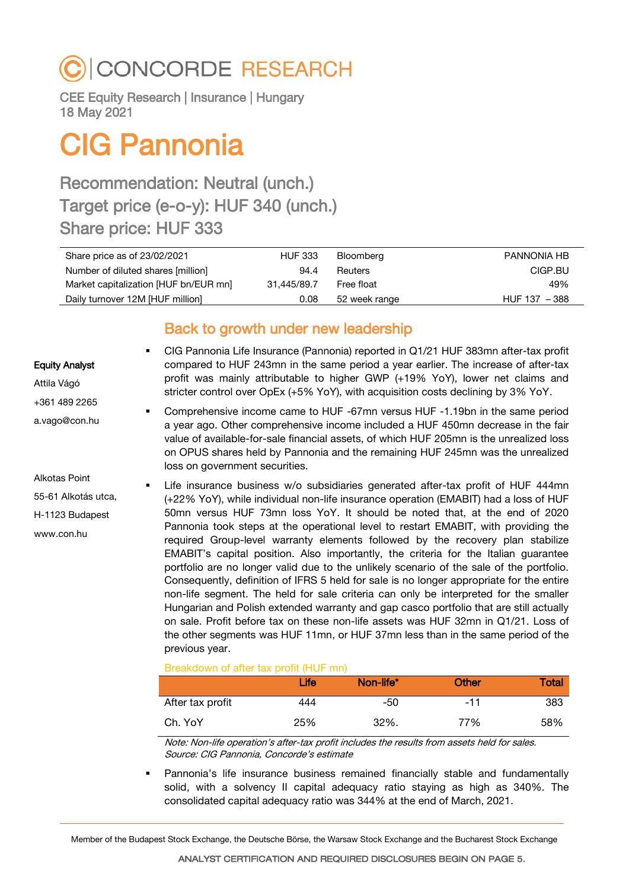# CONCORDE RESEARCH

CEE Equity Research | Insurance | Hungary 18 May 2021

# CIG Pannonia

# Recommendation: Neutral (unch.) Target price (e-o-y): HUF 340 (unch.) Share price: HUF 333

| Share price as of 23/02/2021          | <b>HUF 333</b> | Bloomberg     | PANNONIA HB     |
|---------------------------------------|----------------|---------------|-----------------|
| Number of diluted shares [million]    | 94.4           | Reuters       | CIGP.BU         |
| Market capitalization [HUF bn/EUR mn] | 31.445/89.7    | Free float    | 49%             |
| Daily turnover 12M [HUF million]      | 0.08           | 52 week range | $HUF 137 - 388$ |

# Back to growth under new leadership

## Equity Analyst

Attila Vágó +361 489 2265 a.vago@con.hu

Alkotas Point 55-61 Alkotás utca, H-1123 Budapest www.con.hu

 CIG Pannonia Life Insurance (Pannonia) reported in Q1/21 HUF 383mn after-tax profit compared to HUF 243mn in the same period a year earlier. The increase of after-tax profit was mainly attributable to higher GWP (+19% YoY), lower net claims and stricter control over OpEx (+5% YoY), with acquisition costs declining by 3% YoY.

 Comprehensive income came to HUF -67mn versus HUF -1.19bn in the same period a year ago. Other comprehensive income included a HUF 450mn decrease in the fair value of available-for-sale financial assets, of which HUF 205mn is the unrealized loss on OPUS shares held by Pannonia and the remaining HUF 245mn was the unrealized loss on government securities.

 Life insurance business w/o subsidiaries generated after-tax profit of HUF 444mn (+22% YoY), while individual non-life insurance operation (EMABIT) had a loss of HUF 50mn versus HUF 73mn loss YoY. It should be noted that, at the end of 2020 Pannonia took steps at the operational level to restart EMABIT, with providing the required Group-level warranty elements followed by the recovery plan stabilize EMABIT's capital position. Also importantly, the criteria for the Italian guarantee portfolio are no longer valid due to the unlikely scenario of the sale of the portfolio. Consequently, definition of IFRS 5 held for sale is no longer appropriate for the entire non-life segment. The held for sale criteria can only be interpreted for the smaller Hungarian and Polish extended warranty and gap casco portfolio that are still actually on sale. Profit before tax on these non-life assets was HUF 32mn in Q1/21. Loss of the other segments was HUF 11mn, or HUF 37mn less than in the same period of the previous year.

## Breakdown of after tax profit (HUF mn)

|                  | Life | Non-life* | <b>Other</b> | Total |
|------------------|------|-----------|--------------|-------|
| After tax profit | 444  | -50       | -11          | 383   |
| Ch. YoY          | 25%  | 32%.      | 77%          | 58%   |

Note: Non-life operation's after-tax profit includes the results from assets held for sales. Source: CIG Pannonia, Concorde's estimate

 Pannonia's life insurance business remained financially stable and fundamentally solid, with a solvency II capital adequacy ratio staying as high as 340%. The consolidated capital adequacy ratio was 344% at the end of March, 2021.

Member of the Budapest Stock Exchange, the Deutsche Börse, the Warsaw Stock Exchange and the Bucharest Stock Exchange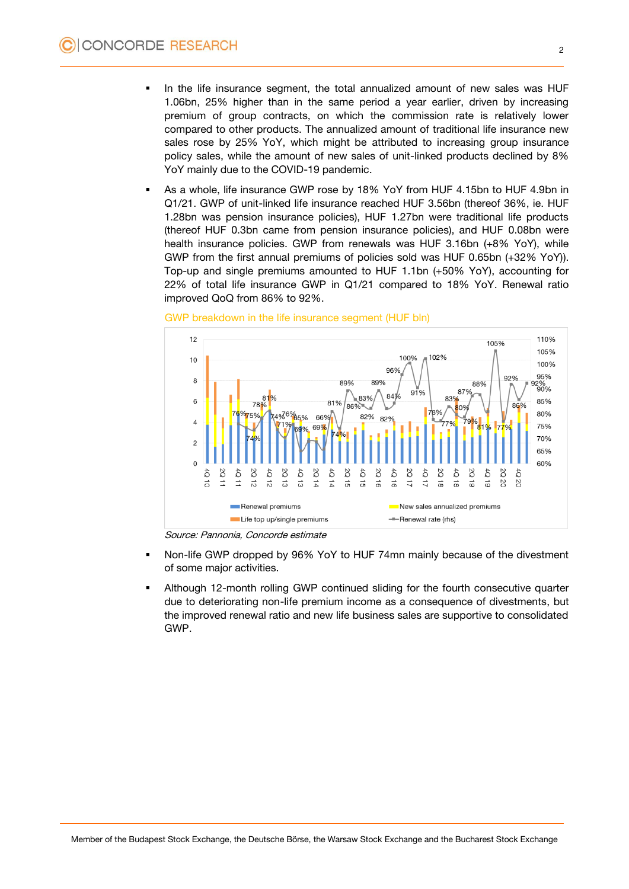- In the life insurance segment, the total annualized amount of new sales was HUF 1.06bn, 25% higher than in the same period a year earlier, driven by increasing premium of group contracts, on which the commission rate is relatively lower compared to other products. The annualized amount of traditional life insurance new sales rose by 25% YoY, which might be attributed to increasing group insurance policy sales, while the amount of new sales of unit-linked products declined by 8% YoY mainly due to the COVID-19 pandemic.
- As a whole, life insurance GWP rose by 18% YoY from HUF 4.15bn to HUF 4.9bn in Q1/21. GWP of unit-linked life insurance reached HUF 3.56bn (thereof 36%, ie. HUF 1.28bn was pension insurance policies), HUF 1.27bn were traditional life products (thereof HUF 0.3bn came from pension insurance policies), and HUF 0.08bn were health insurance policies. GWP from renewals was HUF 3.16bn (+8% YoY), while GWP from the first annual premiums of policies sold was HUF 0.65bn (+32% YoY)). Top-up and single premiums amounted to HUF 1.1bn (+50% YoY), accounting for 22% of total life insurance GWP in Q1/21 compared to 18% YoY. Renewal ratio improved QoQ from 86% to 92%.



### GWP breakdown in the life insurance segment (HUF bln)

Source: Pannonia, Concorde estimate

- Non-life GWP dropped by 96% YoY to HUF 74mn mainly because of the divestment of some major activities.
- Although 12-month rolling GWP continued sliding for the fourth consecutive quarter due to deteriorating non-life premium income as a consequence of divestments, but the improved renewal ratio and new life business sales are supportive to consolidated GWP.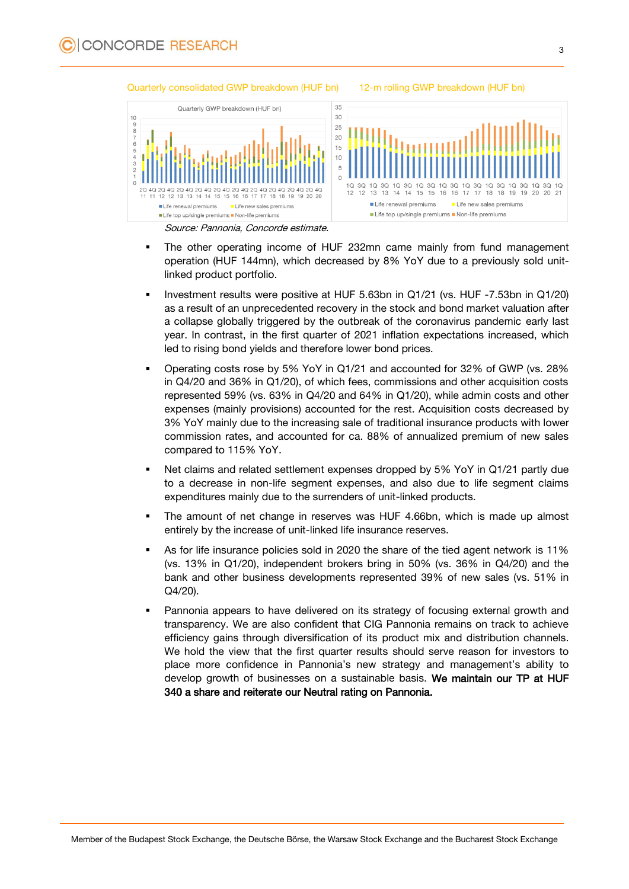

#### Quarterly consolidated GWP breakdown (HUF bn) 12-m rolling GWP breakdown (HUF bn)

- The other operating income of HUF 232mn came mainly from fund management operation (HUF 144mn), which decreased by 8% YoY due to a previously sold unitlinked product portfolio.
- Investment results were positive at HUF 5.63bn in Q1/21 (vs. HUF -7.53bn in Q1/20) as a result of an unprecedented recovery in the stock and bond market valuation after a collapse globally triggered by the outbreak of the coronavirus pandemic early last year. In contrast, in the first quarter of 2021 inflation expectations increased, which led to rising bond yields and therefore lower bond prices.
- Operating costs rose by 5% YoY in Q1/21 and accounted for 32% of GWP (vs. 28% in Q4/20 and 36% in Q1/20), of which fees, commissions and other acquisition costs represented 59% (vs. 63% in Q4/20 and 64% in Q1/20), while admin costs and other expenses (mainly provisions) accounted for the rest. Acquisition costs decreased by 3% YoY mainly due to the increasing sale of traditional insurance products with lower commission rates, and accounted for ca. 88% of annualized premium of new sales compared to 115% YoY.
- Net claims and related settlement expenses dropped by 5% YoY in Q1/21 partly due to a decrease in non-life segment expenses, and also due to life segment claims expenditures mainly due to the surrenders of unit-linked products.
- The amount of net change in reserves was HUF 4.66bn, which is made up almost entirely by the increase of unit-linked life insurance reserves.
- As for life insurance policies sold in 2020 the share of the tied agent network is 11% (vs. 13% in Q1/20), independent brokers bring in 50% (vs. 36% in Q4/20) and the bank and other business developments represented 39% of new sales (vs. 51% in Q4/20).
- Pannonia appears to have delivered on its strategy of focusing external growth and transparency. We are also confident that CIG Pannonia remains on track to achieve efficiency gains through diversification of its product mix and distribution channels. We hold the view that the first quarter results should serve reason for investors to place more confidence in Pannonia's new strategy and management's ability to develop growth of businesses on a sustainable basis. We maintain our TP at HUF 340 a share and reiterate our Neutral rating on Pannonia.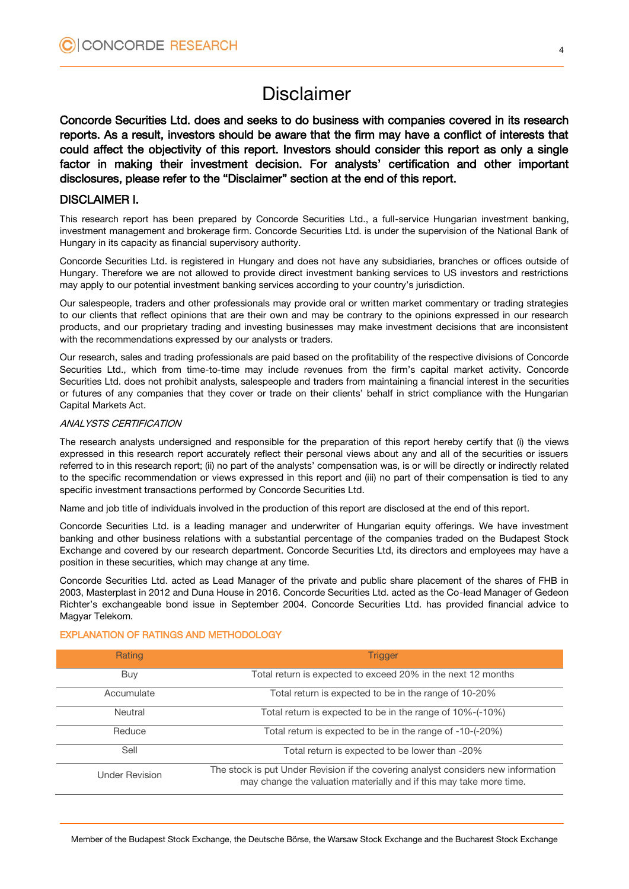# Disclaimer

Concorde Securities Ltd. does and seeks to do business with companies covered in its research reports. As a result, investors should be aware that the firm may have a conflict of interests that could affect the objectivity of this report. Investors should consider this report as only a single factor in making their investment decision. For analysts' certification and other important disclosures, please refer to the "Disclaimer" section at the end of this report.

# DISCLAIMER I.

This research report has been prepared by Concorde Securities Ltd., a full-service Hungarian investment banking, investment management and brokerage firm. Concorde Securities Ltd. is under the supervision of the National Bank of Hungary in its capacity as financial supervisory authority.

Concorde Securities Ltd. is registered in Hungary and does not have any subsidiaries, branches or offices outside of Hungary. Therefore we are not allowed to provide direct investment banking services to US investors and restrictions may apply to our potential investment banking services according to your country's jurisdiction.

Our salespeople, traders and other professionals may provide oral or written market commentary or trading strategies to our clients that reflect opinions that are their own and may be contrary to the opinions expressed in our research products, and our proprietary trading and investing businesses may make investment decisions that are inconsistent with the recommendations expressed by our analysts or traders.

Our research, sales and trading professionals are paid based on the profitability of the respective divisions of Concorde Securities Ltd., which from time-to-time may include revenues from the firm's capital market activity. Concorde Securities Ltd. does not prohibit analysts, salespeople and traders from maintaining a financial interest in the securities or futures of any companies that they cover or trade on their clients' behalf in strict compliance with the Hungarian Capital Markets Act.

## ANALYSTS CERTIFICATION

The research analysts undersigned and responsible for the preparation of this report hereby certify that (i) the views expressed in this research report accurately reflect their personal views about any and all of the securities or issuers referred to in this research report; (ii) no part of the analysts' compensation was, is or will be directly or indirectly related to the specific recommendation or views expressed in this report and (iii) no part of their compensation is tied to any specific investment transactions performed by Concorde Securities Ltd.

Name and job title of individuals involved in the production of this report are disclosed at the end of this report.

Concorde Securities Ltd. is a leading manager and underwriter of Hungarian equity offerings. We have investment banking and other business relations with a substantial percentage of the companies traded on the Budapest Stock Exchange and covered by our research department. Concorde Securities Ltd, its directors and employees may have a position in these securities, which may change at any time.

Concorde Securities Ltd. acted as Lead Manager of the private and public share placement of the shares of FHB in 2003, Masterplast in 2012 and Duna House in 2016. Concorde Securities Ltd. acted as the Co-lead Manager of Gedeon Richter's exchangeable bond issue in September 2004. Concorde Securities Ltd. has provided financial advice to Magyar Telekom.

# Rating **Trigger Trigger Trigger Trigger** Buy Total return is expected to exceed 20% in the next 12 months Accumulate Total return is expected to be in the range of 10-20% Neutral Total return is expected to be in the range of 10%-(-10%) Reduce Total return is expected to be in the range of -10-(-20%) Sell Total return is expected to be lower than -20% Under Revision The stock is put Under Revision if the covering analyst considers new information may change the valuation materially and if this may take more time.

#### EXPLANATION OF RATINGS AND METHODOLOGY